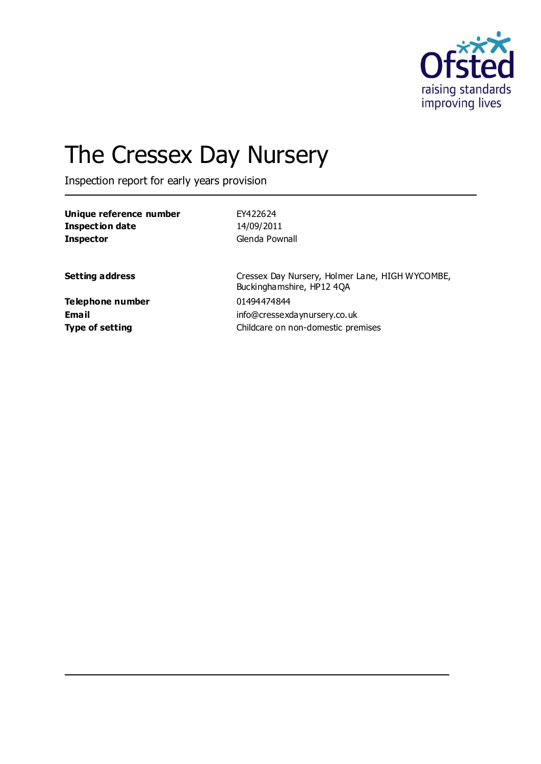

# The Cressex Day Nursery

Inspection report for early years provision

| Unique reference number | FY422624                                                                     |
|-------------------------|------------------------------------------------------------------------------|
| <b>Inspection date</b>  | 14/09/2011                                                                   |
| <b>Inspector</b>        | Glenda Pownall                                                               |
| <b>Setting address</b>  | Cressex Day Nursery, Holmer Lane, HIGH WYCOMBE,<br>Buckinghamshire, HP12 4QA |
| Telephone number        | 01494474844                                                                  |
| Email                   | info@cressexdaynursery.co.uk                                                 |
| <b>Type of setting</b>  | Childcare on non-domestic premises                                           |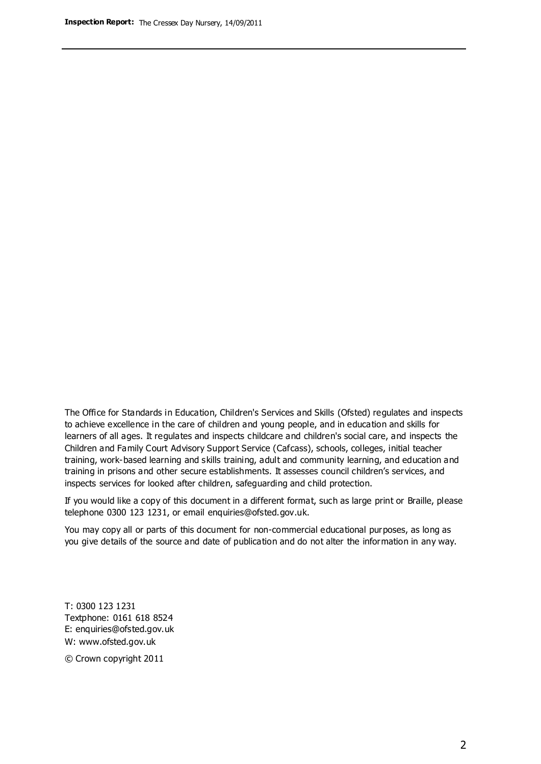The Office for Standards in Education, Children's Services and Skills (Ofsted) regulates and inspects to achieve excellence in the care of children and young people, and in education and skills for learners of all ages. It regulates and inspects childcare and children's social care, and inspects the Children and Family Court Advisory Support Service (Cafcass), schools, colleges, initial teacher training, work-based learning and skills training, adult and community learning, and education and training in prisons and other secure establishments. It assesses council children's services, and inspects services for looked after children, safeguarding and child protection.

If you would like a copy of this document in a different format, such as large print or Braille, please telephone 0300 123 1231, or email enquiries@ofsted.gov.uk.

You may copy all or parts of this document for non-commercial educational purposes, as long as you give details of the source and date of publication and do not alter the information in any way.

T: 0300 123 1231 Textphone: 0161 618 8524 E: enquiries@ofsted.gov.uk W: [www.ofsted.gov.uk](http://www.ofsted.gov.uk/)

© Crown copyright 2011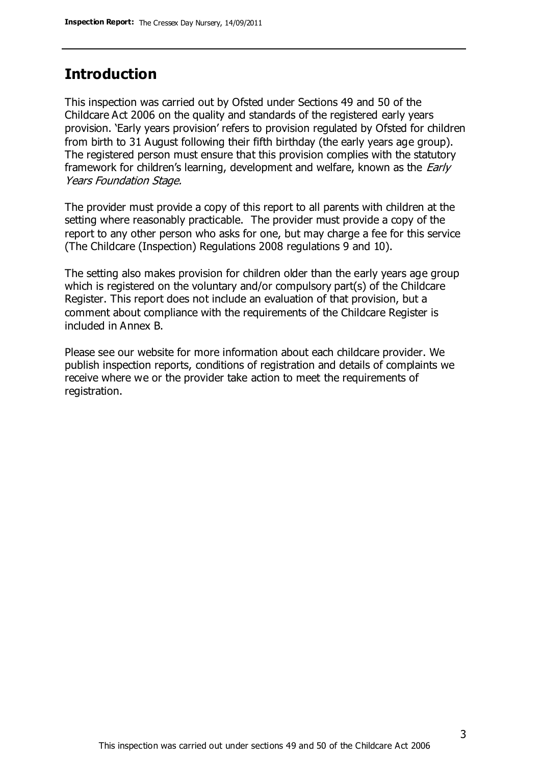## **Introduction**

This inspection was carried out by Ofsted under Sections 49 and 50 of the Childcare Act 2006 on the quality and standards of the registered early years provision. 'Early years provision' refers to provision regulated by Ofsted for children from birth to 31 August following their fifth birthday (the early years age group). The registered person must ensure that this provision complies with the statutory framework for children's learning, development and welfare, known as the *Early* Years Foundation Stage.

The provider must provide a copy of this report to all parents with children at the setting where reasonably practicable. The provider must provide a copy of the report to any other person who asks for one, but may charge a fee for this service (The Childcare (Inspection) Regulations 2008 regulations 9 and 10).

The setting also makes provision for children older than the early years age group which is registered on the voluntary and/or compulsory part(s) of the Childcare Register. This report does not include an evaluation of that provision, but a comment about compliance with the requirements of the Childcare Register is included in Annex B.

Please see our website for more information about each childcare provider. We publish inspection reports, conditions of registration and details of complaints we receive where we or the provider take action to meet the requirements of registration.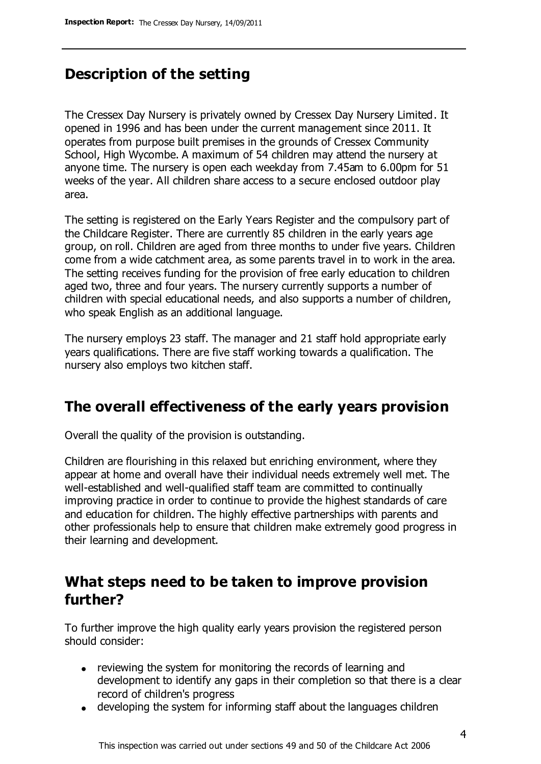# **Description of the setting**

The Cressex Day Nursery is privately owned by Cressex Day Nursery Limited. It opened in 1996 and has been under the current management since 2011. It operates from purpose built premises in the grounds of Cressex Community School, High Wycombe. A maximum of 54 children may attend the nursery at anyone time. The nursery is open each weekday from 7.45am to 6.00pm for 51 weeks of the year. All children share access to a secure enclosed outdoor play area.

The setting is registered on the Early Years Register and the compulsory part of the Childcare Register. There are currently 85 children in the early years age group, on roll. Children are aged from three months to under five years. Children come from a wide catchment area, as some parents travel in to work in the area. The setting receives funding for the provision of free early education to children aged two, three and four years. The nursery currently supports a number of children with special educational needs, and also supports a number of children, who speak English as an additional language.

The nursery employs 23 staff. The manager and 21 staff hold appropriate early years qualifications. There are five staff working towards a qualification. The nursery also employs two kitchen staff.

### **The overall effectiveness of the early years provision**

Overall the quality of the provision is outstanding.

Children are flourishing in this relaxed but enriching environment, where they appear at home and overall have their individual needs extremely well met. The well-established and well-qualified staff team are committed to continually improving practice in order to continue to provide the highest standards of care and education for children. The highly effective partnerships with parents and other professionals help to ensure that children make extremely good progress in their learning and development.

### **What steps need to be taken to improve provision further?**

To further improve the high quality early years provision the registered person should consider:

- reviewing the system for monitoring the records of learning and development to identify any gaps in their completion so that there is a clear record of children's progress
- developing the system for informing staff about the languages children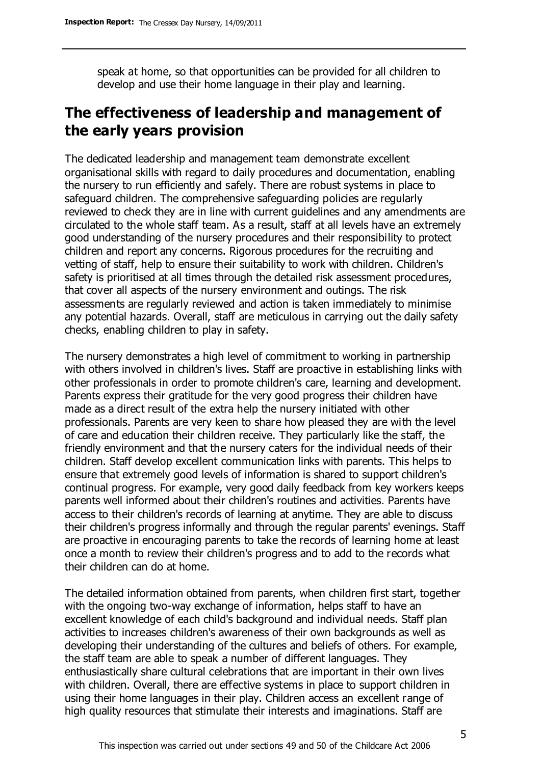speak at home, so that opportunities can be provided for all children to develop and use their home language in their play and learning.

# **The effectiveness of leadership and management of the early years provision**

The dedicated leadership and management team demonstrate excellent organisational skills with regard to daily procedures and documentation, enabling the nursery to run efficiently and safely. There are robust systems in place to safeguard children. The comprehensive safeguarding policies are regularly reviewed to check they are in line with current guidelines and any amendments are circulated to the whole staff team. As a result, staff at all levels have an extremely good understanding of the nursery procedures and their responsibility to protect children and report any concerns. Rigorous procedures for the recruiting and vetting of staff, help to ensure their suitability to work with children. Children's safety is prioritised at all times through the detailed risk assessment procedures, that cover all aspects of the nursery environment and outings. The risk assessments are regularly reviewed and action is taken immediately to minimise any potential hazards. Overall, staff are meticulous in carrying out the daily safety checks, enabling children to play in safety.

The nursery demonstrates a high level of commitment to working in partnership with others involved in children's lives. Staff are proactive in establishing links with other professionals in order to promote children's care, learning and development. Parents express their gratitude for the very good progress their children have made as a direct result of the extra help the nursery initiated with other professionals. Parents are very keen to share how pleased they are with the level of care and education their children receive. They particularly like the staff, the friendly environment and that the nursery caters for the individual needs of their children. Staff develop excellent communication links with parents. This helps to ensure that extremely good levels of information is shared to support children's continual progress. For example, very good daily feedback from key workers keeps parents well informed about their children's routines and activities. Parents have access to their children's records of learning at anytime. They are able to discuss their children's progress informally and through the regular parents' evenings. Staff are proactive in encouraging parents to take the records of learning home at least once a month to review their children's progress and to add to the records what their children can do at home.

The detailed information obtained from parents, when children first start, together with the ongoing two-way exchange of information, helps staff to have an excellent knowledge of each child's background and individual needs. Staff plan activities to increases children's awareness of their own backgrounds as well as developing their understanding of the cultures and beliefs of others. For example, the staff team are able to speak a number of different languages. They enthusiastically share cultural celebrations that are important in their own lives with children. Overall, there are effective systems in place to support children in using their home languages in their play. Children access an excellent range of high quality resources that stimulate their interests and imaginations. Staff are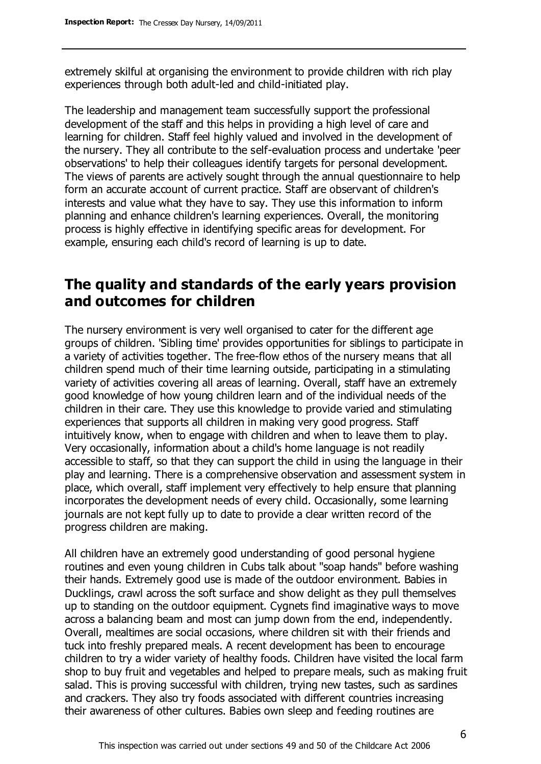extremely skilful at organising the environment to provide children with rich play experiences through both adult-led and child-initiated play.

The leadership and management team successfully support the professional development of the staff and this helps in providing a high level of care and learning for children. Staff feel highly valued and involved in the development of the nursery. They all contribute to the self-evaluation process and undertake 'peer observations' to help their colleagues identify targets for personal development. The views of parents are actively sought through the annual questionnaire to help form an accurate account of current practice. Staff are observant of children's interests and value what they have to say. They use this information to inform planning and enhance children's learning experiences. Overall, the monitoring process is highly effective in identifying specific areas for development. For example, ensuring each child's record of learning is up to date.

## **The quality and standards of the early years provision and outcomes for children**

The nursery environment is very well organised to cater for the different age groups of children. 'Sibling time' provides opportunities for siblings to participate in a variety of activities together. The free-flow ethos of the nursery means that all children spend much of their time learning outside, participating in a stimulating variety of activities covering all areas of learning. Overall, staff have an extremely good knowledge of how young children learn and of the individual needs of the children in their care. They use this knowledge to provide varied and stimulating experiences that supports all children in making very good progress. Staff intuitively know, when to engage with children and when to leave them to play. Very occasionally, information about a child's home language is not readily accessible to staff, so that they can support the child in using the language in their play and learning. There is a comprehensive observation and assessment system in place, which overall, staff implement very effectively to help ensure that planning incorporates the development needs of every child. Occasionally, some learning journals are not kept fully up to date to provide a clear written record of the progress children are making.

All children have an extremely good understanding of good personal hygiene routines and even young children in Cubs talk about "soap hands" before washing their hands. Extremely good use is made of the outdoor environment. Babies in Ducklings, crawl across the soft surface and show delight as they pull themselves up to standing on the outdoor equipment. Cygnets find imaginative ways to move across a balancing beam and most can jump down from the end, independently. Overall, mealtimes are social occasions, where children sit with their friends and tuck into freshly prepared meals. A recent development has been to encourage children to try a wider variety of healthy foods. Children have visited the local farm shop to buy fruit and vegetables and helped to prepare meals, such as making fruit salad. This is proving successful with children, trying new tastes, such as sardines and crackers. They also try foods associated with different countries increasing their awareness of other cultures. Babies own sleep and feeding routines are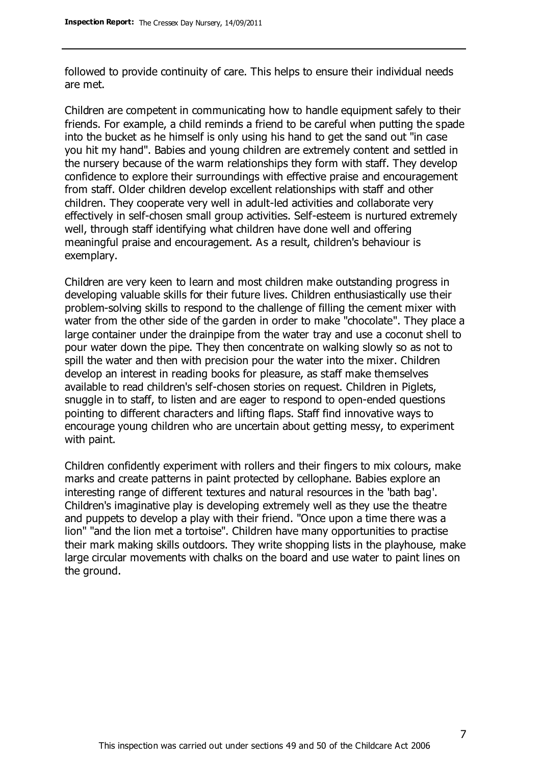followed to provide continuity of care. This helps to ensure their individual needs are met.

Children are competent in communicating how to handle equipment safely to their friends. For example, a child reminds a friend to be careful when putting the spade into the bucket as he himself is only using his hand to get the sand out "in case you hit my hand". Babies and young children are extremely content and settled in the nursery because of the warm relationships they form with staff. They develop confidence to explore their surroundings with effective praise and encouragement from staff. Older children develop excellent relationships with staff and other children. They cooperate very well in adult-led activities and collaborate very effectively in self-chosen small group activities. Self-esteem is nurtured extremely well, through staff identifying what children have done well and offering meaningful praise and encouragement. As a result, children's behaviour is exemplary.

Children are very keen to learn and most children make outstanding progress in developing valuable skills for their future lives. Children enthusiastically use their problem-solving skills to respond to the challenge of filling the cement mixer with water from the other side of the garden in order to make "chocolate". They place a large container under the drainpipe from the water tray and use a coconut shell to pour water down the pipe. They then concentrate on walking slowly so as not to spill the water and then with precision pour the water into the mixer. Children develop an interest in reading books for pleasure, as staff make themselves available to read children's self-chosen stories on request. Children in Piglets, snuggle in to staff, to listen and are eager to respond to open-ended questions pointing to different characters and lifting flaps. Staff find innovative ways to encourage young children who are uncertain about getting messy, to experiment with paint.

Children confidently experiment with rollers and their fingers to mix colours, make marks and create patterns in paint protected by cellophane. Babies explore an interesting range of different textures and natural resources in the 'bath bag'. Children's imaginative play is developing extremely well as they use the theatre and puppets to develop a play with their friend. "Once upon a time there was a lion" "and the lion met a tortoise". Children have many opportunities to practise their mark making skills outdoors. They write shopping lists in the playhouse, make large circular movements with chalks on the board and use water to paint lines on the ground.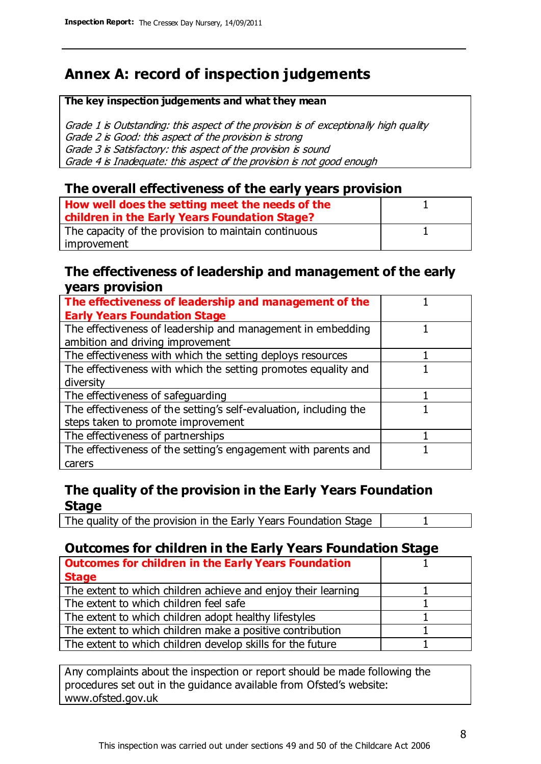# **Annex A: record of inspection judgements**

#### **The key inspection judgements and what they mean**

Grade 1 is Outstanding: this aspect of the provision is of exceptionally high quality Grade 2 is Good: this aspect of the provision is strong Grade 3 is Satisfactory: this aspect of the provision is sound Grade 4 is Inadequate: this aspect of the provision is not good enough

### **The overall effectiveness of the early years provision**

| How well does the setting meet the needs of the<br>children in the Early Years Foundation Stage? |  |
|--------------------------------------------------------------------------------------------------|--|
| The capacity of the provision to maintain continuous                                             |  |
| improvement                                                                                      |  |

### **The effectiveness of leadership and management of the early years provision**

| The effectiveness of leadership and management of the             |  |
|-------------------------------------------------------------------|--|
| <b>Early Years Foundation Stage</b>                               |  |
| The effectiveness of leadership and management in embedding       |  |
| ambition and driving improvement                                  |  |
| The effectiveness with which the setting deploys resources        |  |
| The effectiveness with which the setting promotes equality and    |  |
| diversity                                                         |  |
| The effectiveness of safeguarding                                 |  |
| The effectiveness of the setting's self-evaluation, including the |  |
| steps taken to promote improvement                                |  |
| The effectiveness of partnerships                                 |  |
| The effectiveness of the setting's engagement with parents and    |  |
| carers                                                            |  |

### **The quality of the provision in the Early Years Foundation Stage**

The quality of the provision in the Early Years Foundation Stage | 1

### **Outcomes for children in the Early Years Foundation Stage**

| <b>Outcomes for children in the Early Years Foundation</b>    |  |
|---------------------------------------------------------------|--|
| <b>Stage</b>                                                  |  |
| The extent to which children achieve and enjoy their learning |  |
| The extent to which children feel safe                        |  |
| The extent to which children adopt healthy lifestyles         |  |
| The extent to which children make a positive contribution     |  |
| The extent to which children develop skills for the future    |  |
|                                                               |  |

Any complaints about the inspection or report should be made following the procedures set out in the guidance available from Ofsted's website: www.ofsted.gov.uk